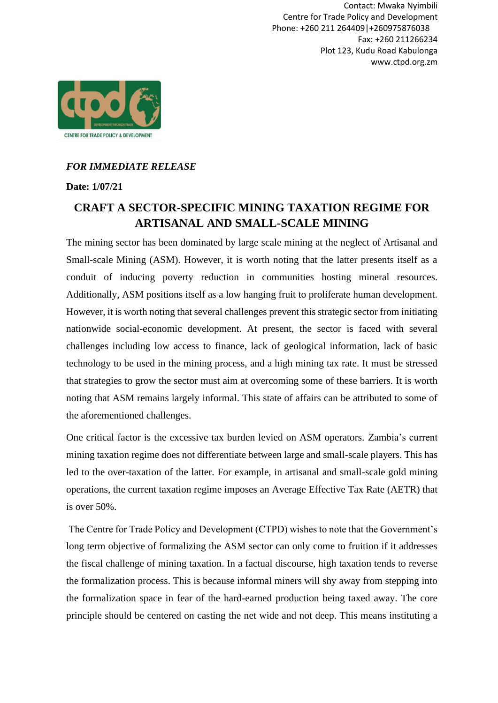Contact: Mwaka Nyimbili Centre for Trade Policy and Development Phone: +260 211 264409|+260975876038 Fax: +260 211266234 Plot 123, Kudu Road Kabulonga www.ctpd.org.zm



## *FOR IMMEDIATE RELEASE*

**Date: 1/07/21**

## **CRAFT A SECTOR-SPECIFIC MINING TAXATION REGIME FOR ARTISANAL AND SMALL-SCALE MINING**

The mining sector has been dominated by large scale mining at the neglect of Artisanal and Small-scale Mining (ASM). However, it is worth noting that the latter presents itself as a conduit of inducing poverty reduction in communities hosting mineral resources. Additionally, ASM positions itself as a low hanging fruit to proliferate human development. However, it is worth noting that several challenges prevent this strategic sector from initiating nationwide social-economic development. At present, the sector is faced with several challenges including low access to finance, lack of geological information, lack of basic technology to be used in the mining process, and a high mining tax rate. It must be stressed that strategies to grow the sector must aim at overcoming some of these barriers. It is worth noting that ASM remains largely informal. This state of affairs can be attributed to some of the aforementioned challenges.

One critical factor is the excessive tax burden levied on ASM operators. Zambia's current mining taxation regime does not differentiate between large and small-scale players. This has led to the over-taxation of the latter. For example, in artisanal and small-scale gold mining operations, the current taxation regime imposes an Average Effective Tax Rate (AETR) that is over 50%.

The Centre for Trade Policy and Development (CTPD) wishes to note that the Government's long term objective of formalizing the ASM sector can only come to fruition if it addresses the fiscal challenge of mining taxation. In a factual discourse, high taxation tends to reverse the formalization process. This is because informal miners will shy away from stepping into the formalization space in fear of the hard-earned production being taxed away. The core principle should be centered on casting the net wide and not deep. This means instituting a